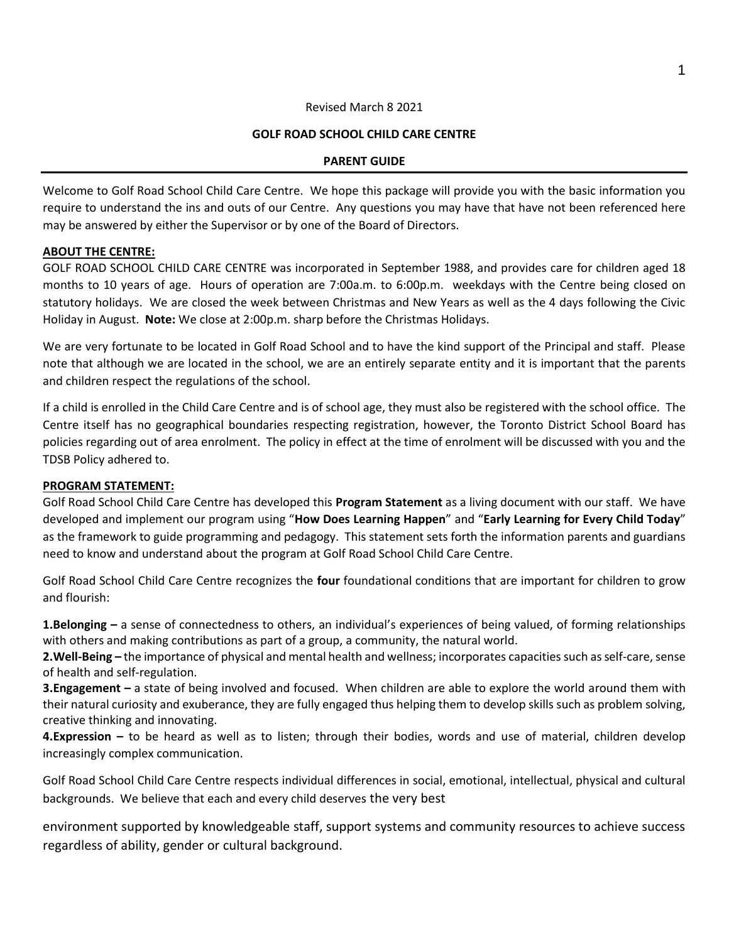#### 1

#### Revised March 8 2021

#### **GOLF ROAD SCHOOL CHILD CARE CENTRE**

#### **PARENT GUIDE**

Welcome to Golf Road School Child Care Centre. We hope this package will provide you with the basic information you require to understand the ins and outs of our Centre. Any questions you may have that have not been referenced here may be answered by either the Supervisor or by one of the Board of Directors.

#### **ABOUT THE CENTRE:**

GOLF ROAD SCHOOL CHILD CARE CENTRE was incorporated in September 1988, and provides care for children aged 18 months to 10 years of age. Hours of operation are 7:00a.m. to 6:00p.m. weekdays with the Centre being closed on statutory holidays. We are closed the week between Christmas and New Years as well as the 4 days following the Civic Holiday in August. **Note:** We close at 2:00p.m. sharp before the Christmas Holidays.

We are very fortunate to be located in Golf Road School and to have the kind support of the Principal and staff. Please note that although we are located in the school, we are an entirely separate entity and it is important that the parents and children respect the regulations of the school.

If a child is enrolled in the Child Care Centre and is of school age, they must also be registered with the school office. The Centre itself has no geographical boundaries respecting registration, however, the Toronto District School Board has policies regarding out of area enrolment. The policy in effect at the time of enrolment will be discussed with you and the TDSB Policy adhered to.

#### **PROGRAM STATEMENT:**

Golf Road School Child Care Centre has developed this **Program Statement** as a living document with our staff. We have developed and implement our program using "**How Does Learning Happen**" and "**Early Learning for Every Child Today**" as the framework to guide programming and pedagogy. This statement sets forth the information parents and guardians need to know and understand about the program at Golf Road School Child Care Centre.

Golf Road School Child Care Centre recognizes the **four** foundational conditions that are important for children to grow and flourish:

**1.Belonging –** a sense of connectedness to others, an individual's experiences of being valued, of forming relationships with others and making contributions as part of a group, a community, the natural world.

**2.Well-Being –** the importance of physical and mental health and wellness; incorporates capacities such as self-care, sense of health and self-regulation.

**3.Engagement –** a state of being involved and focused. When children are able to explore the world around them with their natural curiosity and exuberance, they are fully engaged thus helping them to develop skills such as problem solving, creative thinking and innovating.

**4.Expression –** to be heard as well as to listen; through their bodies, words and use of material, children develop increasingly complex communication.

Golf Road School Child Care Centre respects individual differences in social, emotional, intellectual, physical and cultural backgrounds. We believe that each and every child deserves the very best

environment supported by knowledgeable staff, support systems and community resources to achieve success regardless of ability, gender or cultural background.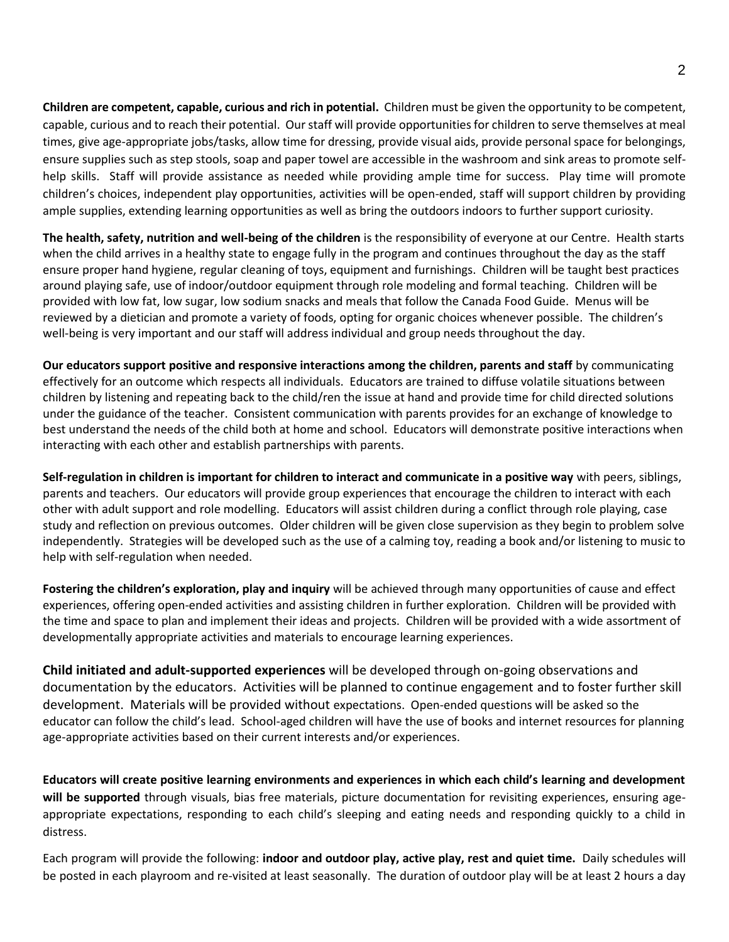**Children are competent, capable, curious and rich in potential.** Children must be given the opportunity to be competent, capable, curious and to reach their potential. Our staff will provide opportunities for children to serve themselves at meal times, give age-appropriate jobs/tasks, allow time for dressing, provide visual aids, provide personal space for belongings, ensure supplies such as step stools, soap and paper towel are accessible in the washroom and sink areas to promote selfhelp skills. Staff will provide assistance as needed while providing ample time for success. Play time will promote children's choices, independent play opportunities, activities will be open-ended, staff will support children by providing ample supplies, extending learning opportunities as well as bring the outdoors indoors to further support curiosity.

**The health, safety, nutrition and well-being of the children** is the responsibility of everyone at our Centre. Health starts when the child arrives in a healthy state to engage fully in the program and continues throughout the day as the staff ensure proper hand hygiene, regular cleaning of toys, equipment and furnishings. Children will be taught best practices around playing safe, use of indoor/outdoor equipment through role modeling and formal teaching. Children will be provided with low fat, low sugar, low sodium snacks and meals that follow the Canada Food Guide. Menus will be reviewed by a dietician and promote a variety of foods, opting for organic choices whenever possible. The children's well-being is very important and our staff will address individual and group needs throughout the day.

**Our educators support positive and responsive interactions among the children, parents and staff** by communicating effectively for an outcome which respects all individuals. Educators are trained to diffuse volatile situations between children by listening and repeating back to the child/ren the issue at hand and provide time for child directed solutions under the guidance of the teacher. Consistent communication with parents provides for an exchange of knowledge to best understand the needs of the child both at home and school. Educators will demonstrate positive interactions when interacting with each other and establish partnerships with parents.

**Self-regulation in children is important for children to interact and communicate in a positive way** with peers, siblings, parents and teachers. Our educators will provide group experiences that encourage the children to interact with each other with adult support and role modelling. Educators will assist children during a conflict through role playing, case study and reflection on previous outcomes. Older children will be given close supervision as they begin to problem solve independently. Strategies will be developed such as the use of a calming toy, reading a book and/or listening to music to help with self-regulation when needed.

**Fostering the children's exploration, play and inquiry** will be achieved through many opportunities of cause and effect experiences, offering open-ended activities and assisting children in further exploration. Children will be provided with the time and space to plan and implement their ideas and projects. Children will be provided with a wide assortment of developmentally appropriate activities and materials to encourage learning experiences.

**Child initiated and adult-supported experiences** will be developed through on-going observations and documentation by the educators. Activities will be planned to continue engagement and to foster further skill development. Materials will be provided without expectations. Open-ended questions will be asked so the educator can follow the child's lead. School-aged children will have the use of books and internet resources for planning age-appropriate activities based on their current interests and/or experiences.

**Educators will create positive learning environments and experiences in which each child's learning and development will be supported** through visuals, bias free materials, picture documentation for revisiting experiences, ensuring ageappropriate expectations, responding to each child's sleeping and eating needs and responding quickly to a child in distress.

Each program will provide the following: **indoor and outdoor play, active play, rest and quiet time.** Daily schedules will be posted in each playroom and re-visited at least seasonally. The duration of outdoor play will be at least 2 hours a day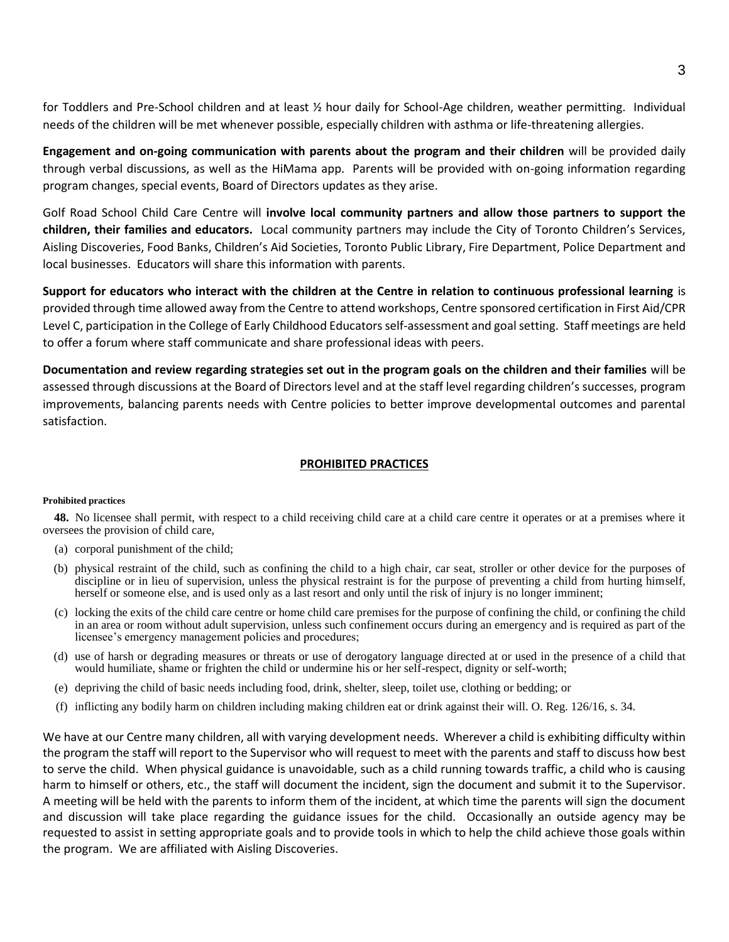for Toddlers and Pre-School children and at least ½ hour daily for School-Age children, weather permitting. Individual needs of the children will be met whenever possible, especially children with asthma or life-threatening allergies.

**Engagement and on-going communication with parents about the program and their children** will be provided daily through verbal discussions, as well as the HiMama app. Parents will be provided with on-going information regarding program changes, special events, Board of Directors updates as they arise.

Golf Road School Child Care Centre will **involve local community partners and allow those partners to support the children, their families and educators.** Local community partners may include the City of Toronto Children's Services, Aisling Discoveries, Food Banks, Children's Aid Societies, Toronto Public Library, Fire Department, Police Department and local businesses. Educators will share this information with parents.

**Support for educators who interact with the children at the Centre in relation to continuous professional learning** is provided through time allowed away from the Centre to attend workshops, Centre sponsored certification in First Aid/CPR Level C, participation in the College of Early Childhood Educators self-assessment and goal setting. Staff meetings are held to offer a forum where staff communicate and share professional ideas with peers.

**Documentation and review regarding strategies set out in the program goals on the children and their families** will be assessed through discussions at the Board of Directors level and at the staff level regarding children's successes, program improvements, balancing parents needs with Centre policies to better improve developmental outcomes and parental satisfaction.

#### **PROHIBITED PRACTICES**

#### **Prohibited practices**

**48.** No licensee shall permit, with respect to a child receiving child care at a child care centre it operates or at a premises where it oversees the provision of child care,

- (a) corporal punishment of the child;
- (b) physical restraint of the child, such as confining the child to a high chair, car seat, stroller or other device for the purposes of discipline or in lieu of supervision, unless the physical restraint is for the purpose of preventing a child from hurting himself, herself or someone else, and is used only as a last resort and only until the risk of injury is no longer imminent;
- (c) locking the exits of the child care centre or home child care premises for the purpose of confining the child, or confining the child in an area or room without adult supervision, unless such confinement occurs during an emergency and is required as part of the licensee's emergency management policies and procedures;
- (d) use of harsh or degrading measures or threats or use of derogatory language directed at or used in the presence of a child that would humiliate, shame or frighten the child or undermine his or her self-respect, dignity or self-worth;
- (e) depriving the child of basic needs including food, drink, shelter, sleep, toilet use, clothing or bedding; or
- (f) inflicting any bodily harm on children including making children eat or drink against their will. O. Reg. 126/16, s. 34.

We have at our Centre many children, all with varying development needs. Wherever a child is exhibiting difficulty within the program the staff will report to the Supervisor who will request to meet with the parents and staff to discuss how best to serve the child. When physical guidance is unavoidable, such as a child running towards traffic, a child who is causing harm to himself or others, etc., the staff will document the incident, sign the document and submit it to the Supervisor. A meeting will be held with the parents to inform them of the incident, at which time the parents will sign the document and discussion will take place regarding the guidance issues for the child. Occasionally an outside agency may be requested to assist in setting appropriate goals and to provide tools in which to help the child achieve those goals within the program. We are affiliated with Aisling Discoveries.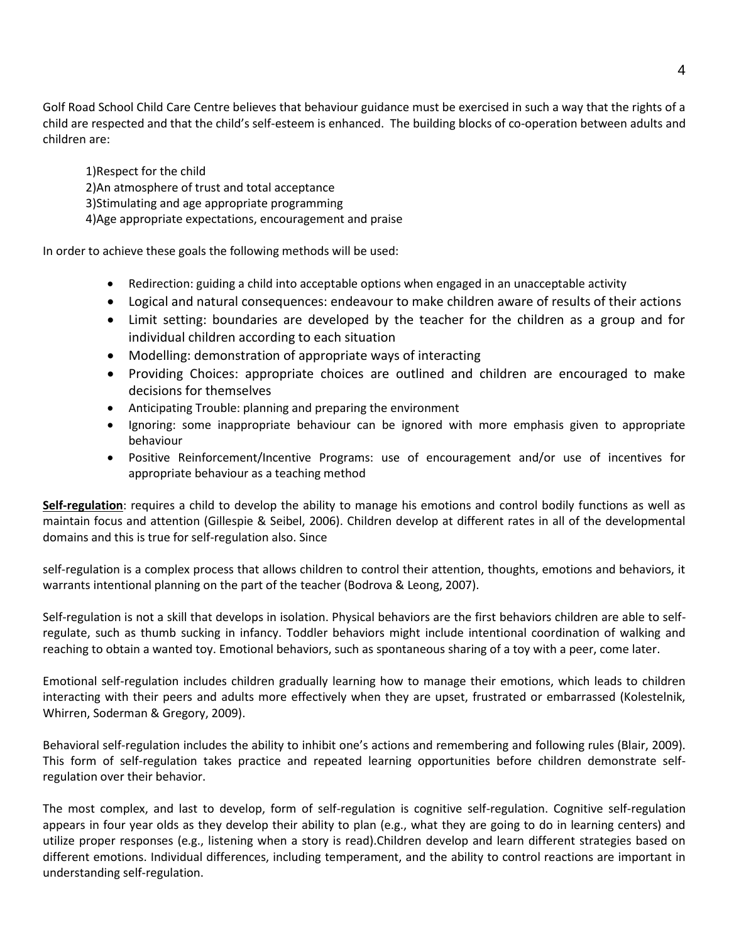Golf Road School Child Care Centre believes that behaviour guidance must be exercised in such a way that the rights of a child are respected and that the child's self-esteem is enhanced. The building blocks of co-operation between adults and children are:

1)Respect for the child 2)An atmosphere of trust and total acceptance 3)Stimulating and age appropriate programming 4)Age appropriate expectations, encouragement and praise

In order to achieve these goals the following methods will be used:

- Redirection: guiding a child into acceptable options when engaged in an unacceptable activity
- Logical and natural consequences: endeavour to make children aware of results of their actions
- Limit setting: boundaries are developed by the teacher for the children as a group and for individual children according to each situation
- Modelling: demonstration of appropriate ways of interacting
- Providing Choices: appropriate choices are outlined and children are encouraged to make decisions for themselves
- Anticipating Trouble: planning and preparing the environment
- Ignoring: some inappropriate behaviour can be ignored with more emphasis given to appropriate behaviour
- Positive Reinforcement/Incentive Programs: use of encouragement and/or use of incentives for appropriate behaviour as a teaching method

**Self-regulation**: requires a child to develop the ability to manage his emotions and control bodily functions as well as maintain focus and attention (Gillespie & Seibel, 2006). Children develop at different rates in all of the developmental domains and this is true for self-regulation also. Since

self-regulation is a complex process that allows children to control their attention, thoughts, emotions and behaviors, it warrants intentional planning on the part of the teacher (Bodrova & Leong, 2007).

Self-regulation is not a skill that develops in isolation. Physical behaviors are the first behaviors children are able to selfregulate, such as thumb sucking in infancy. Toddler behaviors might include intentional coordination of walking and reaching to obtain a wanted toy. Emotional behaviors, such as spontaneous sharing of a toy with a peer, come later.

Emotional self-regulation includes children gradually learning how to manage their emotions, which leads to children interacting with their peers and adults more effectively when they are upset, frustrated or embarrassed (Kolestelnik, Whirren, Soderman & Gregory, 2009).

Behavioral self-regulation includes the ability to inhibit one's actions and remembering and following rules (Blair, 2009). This form of self-regulation takes practice and repeated learning opportunities before children demonstrate selfregulation over their behavior.

The most complex, and last to develop, form of self-regulation is cognitive self-regulation. Cognitive self-regulation appears in four year olds as they develop their ability to plan (e.g., what they are going to do in learning centers) and utilize proper responses (e.g., listening when a story is read).Children develop and learn different strategies based on different emotions. Individual differences, including temperament, and the ability to control reactions are important in understanding self-regulation.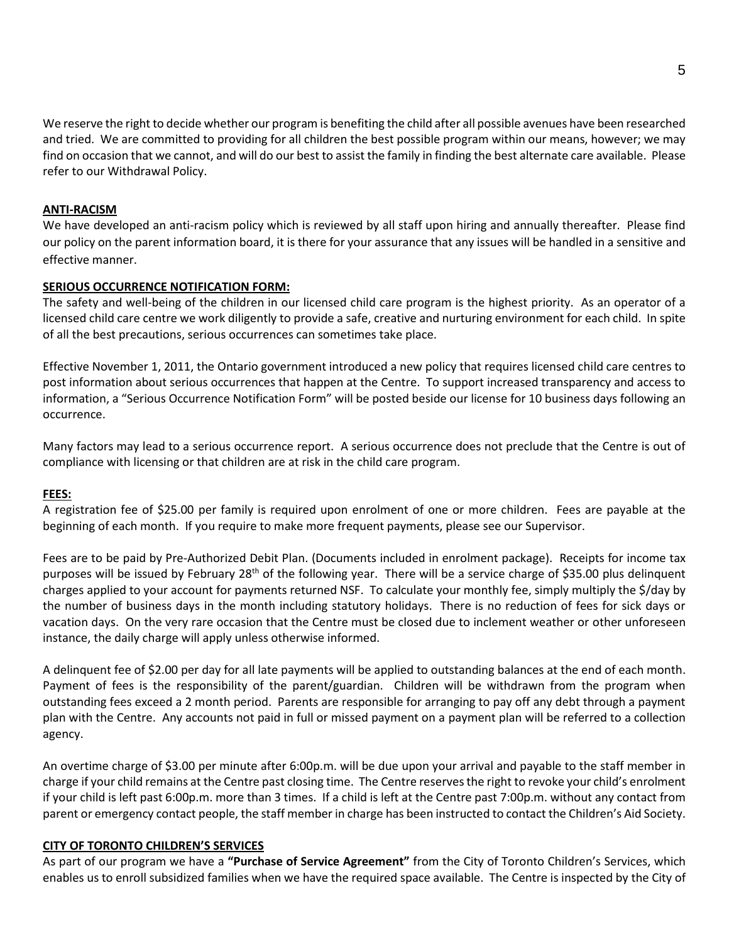We reserve the right to decide whether our program is benefiting the child after all possible avenues have been researched and tried. We are committed to providing for all children the best possible program within our means, however; we may find on occasion that we cannot, and will do our best to assist the family in finding the best alternate care available. Please refer to our Withdrawal Policy.

#### **ANTI-RACISM**

We have developed an anti-racism policy which is reviewed by all staff upon hiring and annually thereafter. Please find our policy on the parent information board, it is there for your assurance that any issues will be handled in a sensitive and effective manner.

#### **SERIOUS OCCURRENCE NOTIFICATION FORM:**

The safety and well-being of the children in our licensed child care program is the highest priority. As an operator of a licensed child care centre we work diligently to provide a safe, creative and nurturing environment for each child. In spite of all the best precautions, serious occurrences can sometimes take place.

Effective November 1, 2011, the Ontario government introduced a new policy that requires licensed child care centres to post information about serious occurrences that happen at the Centre. To support increased transparency and access to information, a "Serious Occurrence Notification Form" will be posted beside our license for 10 business days following an occurrence.

Many factors may lead to a serious occurrence report. A serious occurrence does not preclude that the Centre is out of compliance with licensing or that children are at risk in the child care program.

#### **FEES:**

A registration fee of \$25.00 per family is required upon enrolment of one or more children. Fees are payable at the beginning of each month. If you require to make more frequent payments, please see our Supervisor.

Fees are to be paid by Pre-Authorized Debit Plan. (Documents included in enrolment package). Receipts for income tax purposes will be issued by February 28<sup>th</sup> of the following year. There will be a service charge of \$35.00 plus delinquent charges applied to your account for payments returned NSF. To calculate your monthly fee, simply multiply the \$/day by the number of business days in the month including statutory holidays. There is no reduction of fees for sick days or vacation days. On the very rare occasion that the Centre must be closed due to inclement weather or other unforeseen instance, the daily charge will apply unless otherwise informed.

A delinquent fee of \$2.00 per day for all late payments will be applied to outstanding balances at the end of each month. Payment of fees is the responsibility of the parent/guardian. Children will be withdrawn from the program when outstanding fees exceed a 2 month period. Parents are responsible for arranging to pay off any debt through a payment plan with the Centre. Any accounts not paid in full or missed payment on a payment plan will be referred to a collection agency.

An overtime charge of \$3.00 per minute after 6:00p.m. will be due upon your arrival and payable to the staff member in charge if your child remains at the Centre past closing time. The Centre reserves the right to revoke your child's enrolment if your child is left past 6:00p.m. more than 3 times. If a child is left at the Centre past 7:00p.m. without any contact from parent or emergency contact people, the staff member in charge has been instructed to contact the Children's Aid Society.

#### **CITY OF TORONTO CHILDREN'S SERVICES**

As part of our program we have a **"Purchase of Service Agreement"** from the City of Toronto Children's Services, which enables us to enroll subsidized families when we have the required space available. The Centre is inspected by the City of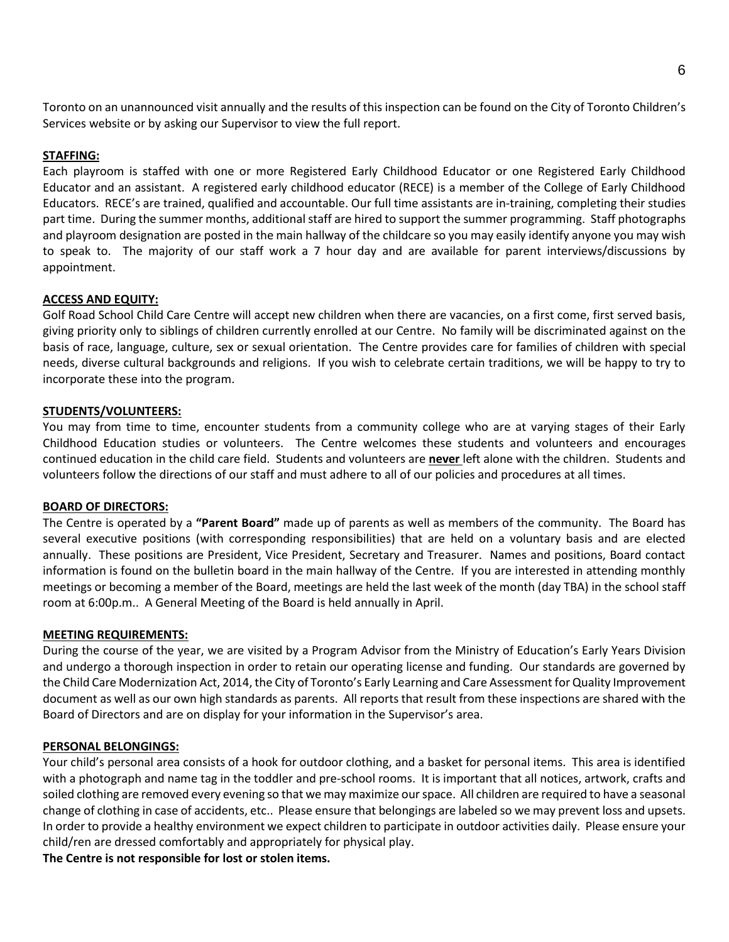Toronto on an unannounced visit annually and the results of this inspection can be found on the City of Toronto Children's Services website or by asking our Supervisor to view the full report.

#### **STAFFING:**

Each playroom is staffed with one or more Registered Early Childhood Educator or one Registered Early Childhood Educator and an assistant. A registered early childhood educator (RECE) is a member of the College of Early Childhood Educators. RECE's are trained, qualified and accountable. Our full time assistants are in-training, completing their studies part time. During the summer months, additional staff are hired to support the summer programming. Staff photographs and playroom designation are posted in the main hallway of the childcare so you may easily identify anyone you may wish to speak to. The majority of our staff work a 7 hour day and are available for parent interviews/discussions by appointment.

#### **ACCESS AND EQUITY:**

Golf Road School Child Care Centre will accept new children when there are vacancies, on a first come, first served basis, giving priority only to siblings of children currently enrolled at our Centre. No family will be discriminated against on the basis of race, language, culture, sex or sexual orientation. The Centre provides care for families of children with special needs, diverse cultural backgrounds and religions. If you wish to celebrate certain traditions, we will be happy to try to incorporate these into the program.

#### **STUDENTS/VOLUNTEERS:**

You may from time to time, encounter students from a community college who are at varying stages of their Early Childhood Education studies or volunteers. The Centre welcomes these students and volunteers and encourages continued education in the child care field. Students and volunteers are **never** left alone with the children. Students and volunteers follow the directions of our staff and must adhere to all of our policies and procedures at all times.

#### **BOARD OF DIRECTORS:**

The Centre is operated by a **"Parent Board"** made up of parents as well as members of the community. The Board has several executive positions (with corresponding responsibilities) that are held on a voluntary basis and are elected annually. These positions are President, Vice President, Secretary and Treasurer. Names and positions, Board contact information is found on the bulletin board in the main hallway of the Centre. If you are interested in attending monthly meetings or becoming a member of the Board, meetings are held the last week of the month (day TBA) in the school staff room at 6:00p.m.. A General Meeting of the Board is held annually in April.

#### **MEETING REQUIREMENTS:**

During the course of the year, we are visited by a Program Advisor from the Ministry of Education's Early Years Division and undergo a thorough inspection in order to retain our operating license and funding. Our standards are governed by the Child Care Modernization Act, 2014, the City of Toronto's Early Learning and Care Assessment for Quality Improvement document as well as our own high standards as parents. All reports that result from these inspections are shared with the Board of Directors and are on display for your information in the Supervisor's area.

#### **PERSONAL BELONGINGS:**

Your child's personal area consists of a hook for outdoor clothing, and a basket for personal items. This area is identified with a photograph and name tag in the toddler and pre-school rooms. It is important that all notices, artwork, crafts and soiled clothing are removed every evening so that we may maximize our space. All children are required to have a seasonal change of clothing in case of accidents, etc.. Please ensure that belongings are labeled so we may prevent loss and upsets. In order to provide a healthy environment we expect children to participate in outdoor activities daily. Please ensure your child/ren are dressed comfortably and appropriately for physical play.

**The Centre is not responsible for lost or stolen items.**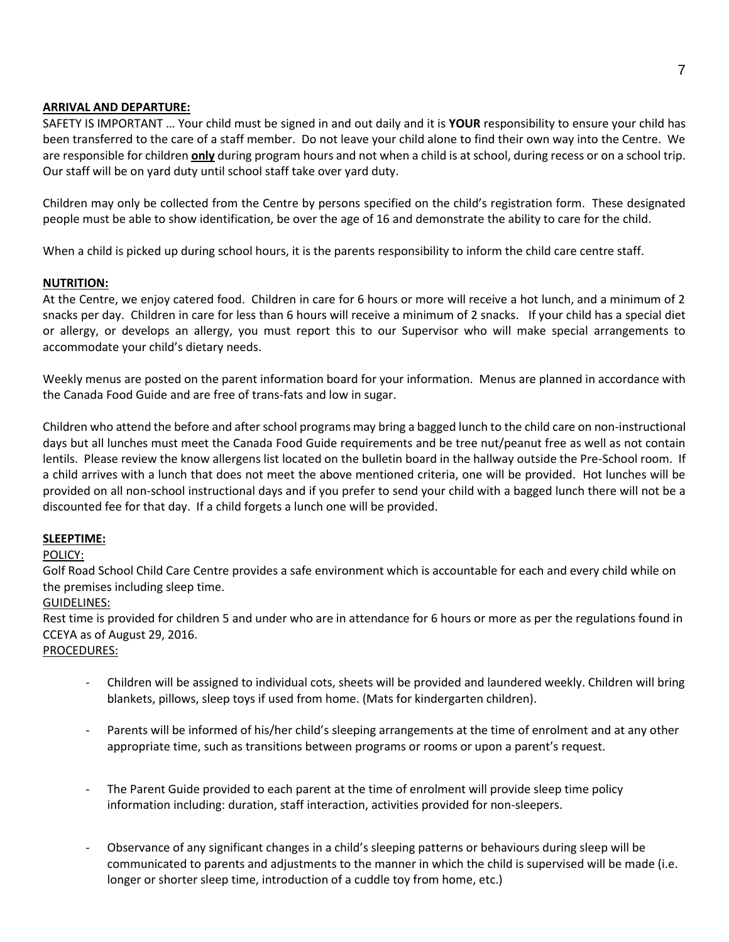## **ARRIVAL AND DEPARTURE:**

SAFETY IS IMPORTANT … Your child must be signed in and out daily and it is **YOUR** responsibility to ensure your child has been transferred to the care of a staff member. Do not leave your child alone to find their own way into the Centre. We are responsible for children **only** during program hours and not when a child is at school, during recess or on a school trip. Our staff will be on yard duty until school staff take over yard duty.

Children may only be collected from the Centre by persons specified on the child's registration form. These designated people must be able to show identification, be over the age of 16 and demonstrate the ability to care for the child.

When a child is picked up during school hours, it is the parents responsibility to inform the child care centre staff.

# **NUTRITION:**

At the Centre, we enjoy catered food. Children in care for 6 hours or more will receive a hot lunch, and a minimum of 2 snacks per day. Children in care for less than 6 hours will receive a minimum of 2 snacks. If your child has a special diet or allergy, or develops an allergy, you must report this to our Supervisor who will make special arrangements to accommodate your child's dietary needs.

Weekly menus are posted on the parent information board for your information. Menus are planned in accordance with the Canada Food Guide and are free of trans-fats and low in sugar.

Children who attend the before and after school programs may bring a bagged lunch to the child care on non-instructional days but all lunches must meet the Canada Food Guide requirements and be tree nut/peanut free as well as not contain lentils. Please review the know allergens list located on the bulletin board in the hallway outside the Pre-School room. If a child arrives with a lunch that does not meet the above mentioned criteria, one will be provided. Hot lunches will be provided on all non-school instructional days and if you prefer to send your child with a bagged lunch there will not be a discounted fee for that day. If a child forgets a lunch one will be provided.

#### **SLEEPTIME:**

POLICY:

Golf Road School Child Care Centre provides a safe environment which is accountable for each and every child while on the premises including sleep time.

#### GUIDELINES:

Rest time is provided for children 5 and under who are in attendance for 6 hours or more as per the regulations found in CCEYA as of August 29, 2016.

#### PROCEDURES:

- Children will be assigned to individual cots, sheets will be provided and laundered weekly. Children will bring blankets, pillows, sleep toys if used from home. (Mats for kindergarten children).
- Parents will be informed of his/her child's sleeping arrangements at the time of enrolment and at any other appropriate time, such as transitions between programs or rooms or upon a parent's request.
- The Parent Guide provided to each parent at the time of enrolment will provide sleep time policy information including: duration, staff interaction, activities provided for non-sleepers.
- Observance of any significant changes in a child's sleeping patterns or behaviours during sleep will be communicated to parents and adjustments to the manner in which the child is supervised will be made (i.e. longer or shorter sleep time, introduction of a cuddle toy from home, etc.)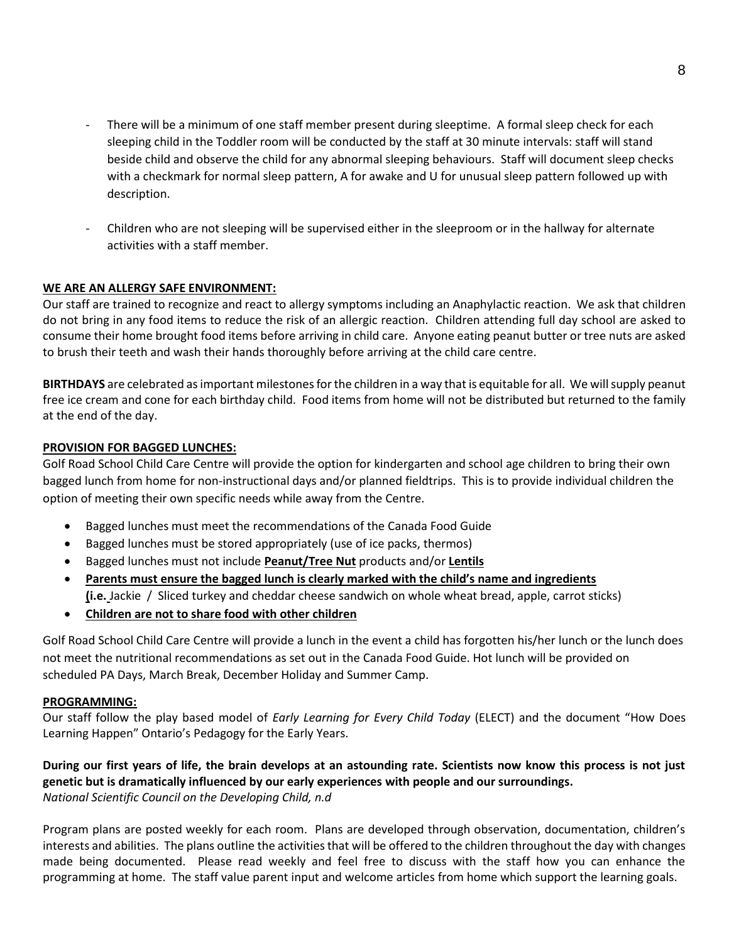- There will be a minimum of one staff member present during sleeptime. A formal sleep check for each sleeping child in the Toddler room will be conducted by the staff at 30 minute intervals: staff will stand beside child and observe the child for any abnormal sleeping behaviours. Staff will document sleep checks with a checkmark for normal sleep pattern, A for awake and U for unusual sleep pattern followed up with description.
- Children who are not sleeping will be supervised either in the sleeproom or in the hallway for alternate activities with a staff member.

#### **WE ARE AN ALLERGY SAFE ENVIRONMENT:**

Our staff are trained to recognize and react to allergy symptoms including an Anaphylactic reaction. We ask that children do not bring in any food items to reduce the risk of an allergic reaction. Children attending full day school are asked to consume their home brought food items before arriving in child care. Anyone eating peanut butter or tree nuts are asked to brush their teeth and wash their hands thoroughly before arriving at the child care centre.

**BIRTHDAYS** are celebrated as important milestones for the children in a way that is equitable for all. We will supply peanut free ice cream and cone for each birthday child. Food items from home will not be distributed but returned to the family at the end of the day.

#### **PROVISION FOR BAGGED LUNCHES:**

Golf Road School Child Care Centre will provide the option for kindergarten and school age children to bring their own bagged lunch from home for non-instructional days and/or planned fieldtrips. This is to provide individual children the option of meeting their own specific needs while away from the Centre.

- Bagged lunches must meet the recommendations of the Canada Food Guide
- Bagged lunches must be stored appropriately (use of ice packs, thermos)
- Bagged lunches must not include **Peanut/Tree Nut** products and/or **Lentils**
- **Parents must ensure the bagged lunch is clearly marked with the child's name and ingredients (i.e.** Jackie / Sliced turkey and cheddar cheese sandwich on whole wheat bread, apple, carrot sticks)
- **Children are not to share food with other children**

Golf Road School Child Care Centre will provide a lunch in the event a child has forgotten his/her lunch or the lunch does not meet the nutritional recommendations as set out in the Canada Food Guide. Hot lunch will be provided on scheduled PA Days, March Break, December Holiday and Summer Camp.

#### **PROGRAMMING:**

Our staff follow the play based model of *Early Learning for Every Child Today* (ELECT) and the document "How Does Learning Happen" Ontario's Pedagogy for the Early Years.

# **During our first years of life, the brain develops at an astounding rate. Scientists now know this process is not just genetic but is dramatically influenced by our early experiences with people and our surroundings.** *National Scientific Council on the Developing Child, n.d*

Program plans are posted weekly for each room. Plans are developed through observation, documentation, children's interests and abilities. The plans outline the activities that will be offered to the children throughout the day with changes made being documented. Please read weekly and feel free to discuss with the staff how you can enhance the programming at home. The staff value parent input and welcome articles from home which support the learning goals.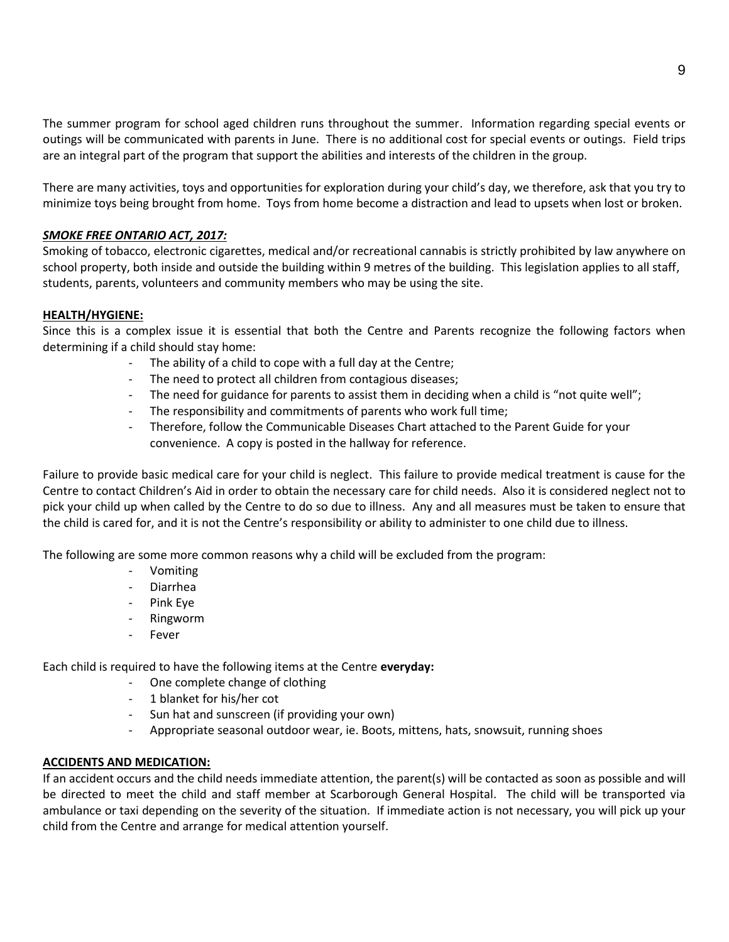The summer program for school aged children runs throughout the summer. Information regarding special events or outings will be communicated with parents in June. There is no additional cost for special events or outings. Field trips are an integral part of the program that support the abilities and interests of the children in the group.

There are many activities, toys and opportunities for exploration during your child's day, we therefore, ask that you try to minimize toys being brought from home. Toys from home become a distraction and lead to upsets when lost or broken.

#### *SMOKE FREE ONTARIO ACT, 2017:*

Smoking of tobacco, electronic cigarettes, medical and/or recreational cannabis is strictly prohibited by law anywhere on school property, both inside and outside the building within 9 metres of the building. This legislation applies to all staff, students, parents, volunteers and community members who may be using the site.

#### **HEALTH/HYGIENE:**

Since this is a complex issue it is essential that both the Centre and Parents recognize the following factors when determining if a child should stay home:

- The ability of a child to cope with a full day at the Centre;
- The need to protect all children from contagious diseases;
- The need for guidance for parents to assist them in deciding when a child is "not quite well";
- The responsibility and commitments of parents who work full time;
- Therefore, follow the Communicable Diseases Chart attached to the Parent Guide for your convenience. A copy is posted in the hallway for reference.

Failure to provide basic medical care for your child is neglect. This failure to provide medical treatment is cause for the Centre to contact Children's Aid in order to obtain the necessary care for child needs. Also it is considered neglect not to pick your child up when called by the Centre to do so due to illness. Any and all measures must be taken to ensure that the child is cared for, and it is not the Centre's responsibility or ability to administer to one child due to illness.

The following are some more common reasons why a child will be excluded from the program:

- Vomiting
- Diarrhea
- Pink Eye
- Ringworm
- **Fever**

Each child is required to have the following items at the Centre **everyday:**

- One complete change of clothing
- 1 blanket for his/her cot
- Sun hat and sunscreen (if providing your own)
- Appropriate seasonal outdoor wear, ie. Boots, mittens, hats, snowsuit, running shoes

#### **ACCIDENTS AND MEDICATION:**

If an accident occurs and the child needs immediate attention, the parent(s) will be contacted as soon as possible and will be directed to meet the child and staff member at Scarborough General Hospital. The child will be transported via ambulance or taxi depending on the severity of the situation. If immediate action is not necessary, you will pick up your child from the Centre and arrange for medical attention yourself.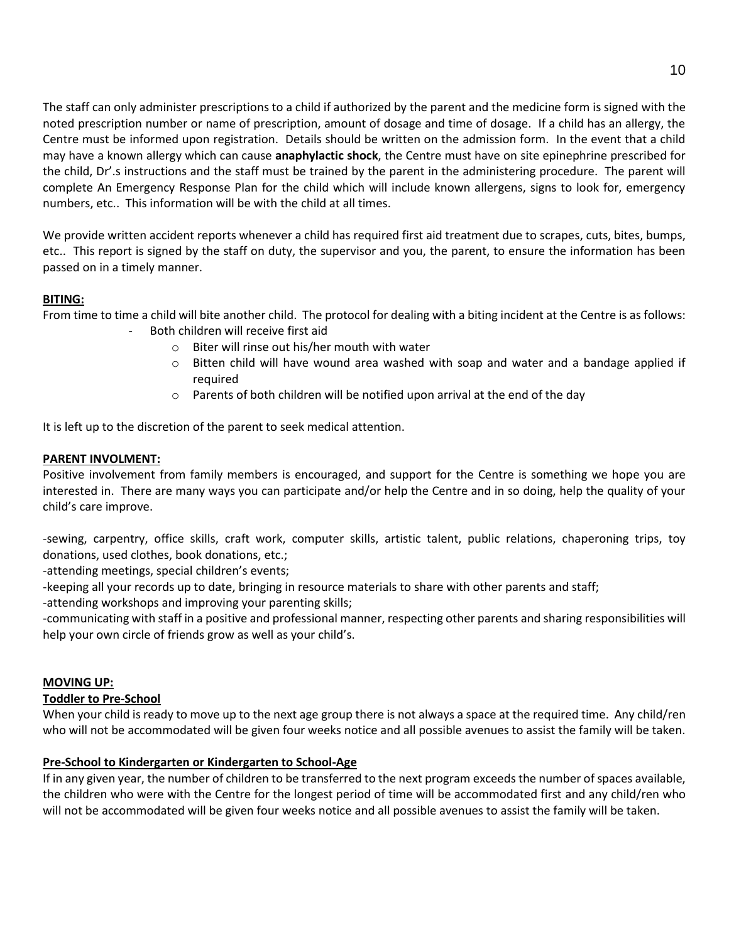The staff can only administer prescriptions to a child if authorized by the parent and the medicine form is signed with the noted prescription number or name of prescription, amount of dosage and time of dosage. If a child has an allergy, the Centre must be informed upon registration. Details should be written on the admission form. In the event that a child may have a known allergy which can cause **anaphylactic shock**, the Centre must have on site epinephrine prescribed for the child, Dr'.s instructions and the staff must be trained by the parent in the administering procedure. The parent will complete An Emergency Response Plan for the child which will include known allergens, signs to look for, emergency numbers, etc.. This information will be with the child at all times.

We provide written accident reports whenever a child has required first aid treatment due to scrapes, cuts, bites, bumps, etc.. This report is signed by the staff on duty, the supervisor and you, the parent, to ensure the information has been passed on in a timely manner.

# **BITING:**

From time to time a child will bite another child. The protocol for dealing with a biting incident at the Centre is as follows: Both children will receive first aid

- o Biter will rinse out his/her mouth with water
- o Bitten child will have wound area washed with soap and water and a bandage applied if required
- $\circ$  Parents of both children will be notified upon arrival at the end of the day

It is left up to the discretion of the parent to seek medical attention.

#### **PARENT INVOLMENT:**

Positive involvement from family members is encouraged, and support for the Centre is something we hope you are interested in. There are many ways you can participate and/or help the Centre and in so doing, help the quality of your child's care improve.

-sewing, carpentry, office skills, craft work, computer skills, artistic talent, public relations, chaperoning trips, toy donations, used clothes, book donations, etc.;

-attending meetings, special children's events;

-keeping all your records up to date, bringing in resource materials to share with other parents and staff;

-attending workshops and improving your parenting skills;

-communicating with staff in a positive and professional manner, respecting other parents and sharing responsibilities will help your own circle of friends grow as well as your child's.

#### **MOVING UP:**

#### **Toddler to Pre-School**

When your child is ready to move up to the next age group there is not always a space at the required time. Any child/ren who will not be accommodated will be given four weeks notice and all possible avenues to assist the family will be taken.

#### **Pre-School to Kindergarten or Kindergarten to School-Age**

If in any given year, the number of children to be transferred to the next program exceeds the number of spaces available, the children who were with the Centre for the longest period of time will be accommodated first and any child/ren who will not be accommodated will be given four weeks notice and all possible avenues to assist the family will be taken.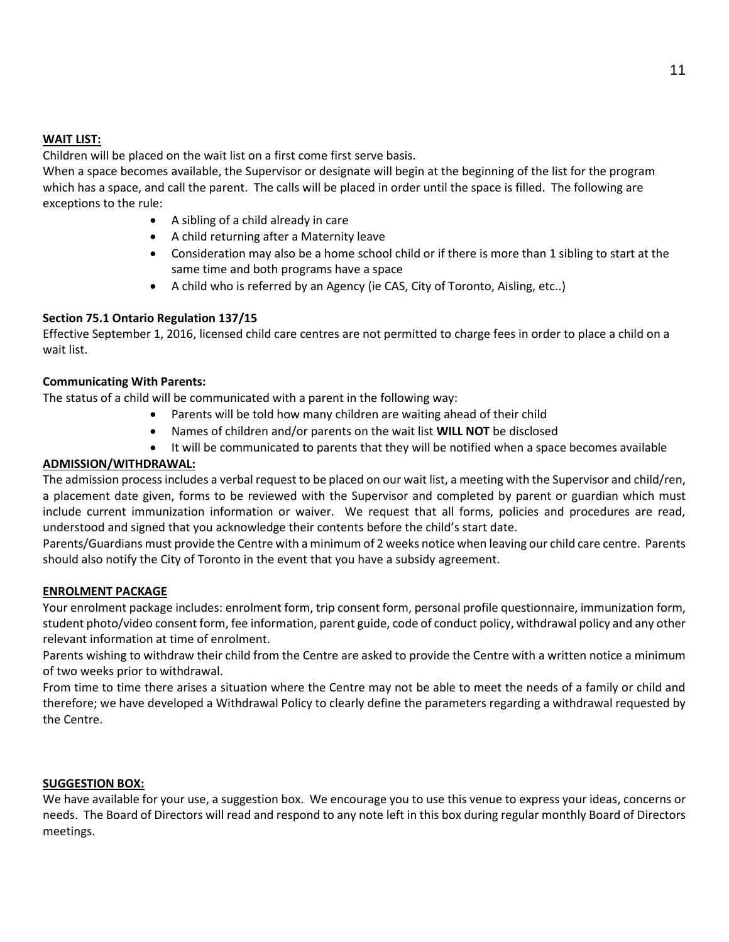## **WAIT LIST:**

Children will be placed on the wait list on a first come first serve basis.

When a space becomes available, the Supervisor or designate will begin at the beginning of the list for the program which has a space, and call the parent. The calls will be placed in order until the space is filled. The following are exceptions to the rule:

- A sibling of a child already in care
- A child returning after a Maternity leave
- Consideration may also be a home school child or if there is more than 1 sibling to start at the same time and both programs have a space
- A child who is referred by an Agency (ie CAS, City of Toronto, Aisling, etc..)

# **Section 75.1 Ontario Regulation 137/15**

Effective September 1, 2016, licensed child care centres are not permitted to charge fees in order to place a child on a wait list.

#### **Communicating With Parents:**

The status of a child will be communicated with a parent in the following way:

- Parents will be told how many children are waiting ahead of their child
- Names of children and/or parents on the wait list **WILL NOT** be disclosed
- It will be communicated to parents that they will be notified when a space becomes available

## **ADMISSION/WITHDRAWAL:**

The admission process includes a verbal request to be placed on our wait list, a meeting with the Supervisor and child/ren, a placement date given, forms to be reviewed with the Supervisor and completed by parent or guardian which must include current immunization information or waiver. We request that all forms, policies and procedures are read, understood and signed that you acknowledge their contents before the child's start date.

Parents/Guardians must provide the Centre with a minimum of 2 weeks notice when leaving our child care centre. Parents should also notify the City of Toronto in the event that you have a subsidy agreement.

#### **ENROLMENT PACKAGE**

Your enrolment package includes: enrolment form, trip consent form, personal profile questionnaire, immunization form, student photo/video consent form, fee information, parent guide, code of conduct policy, withdrawal policy and any other relevant information at time of enrolment.

Parents wishing to withdraw their child from the Centre are asked to provide the Centre with a written notice a minimum of two weeks prior to withdrawal.

From time to time there arises a situation where the Centre may not be able to meet the needs of a family or child and therefore; we have developed a Withdrawal Policy to clearly define the parameters regarding a withdrawal requested by the Centre.

#### **SUGGESTION BOX:**

We have available for your use, a suggestion box. We encourage you to use this venue to express your ideas, concerns or needs. The Board of Directors will read and respond to any note left in this box during regular monthly Board of Directors meetings.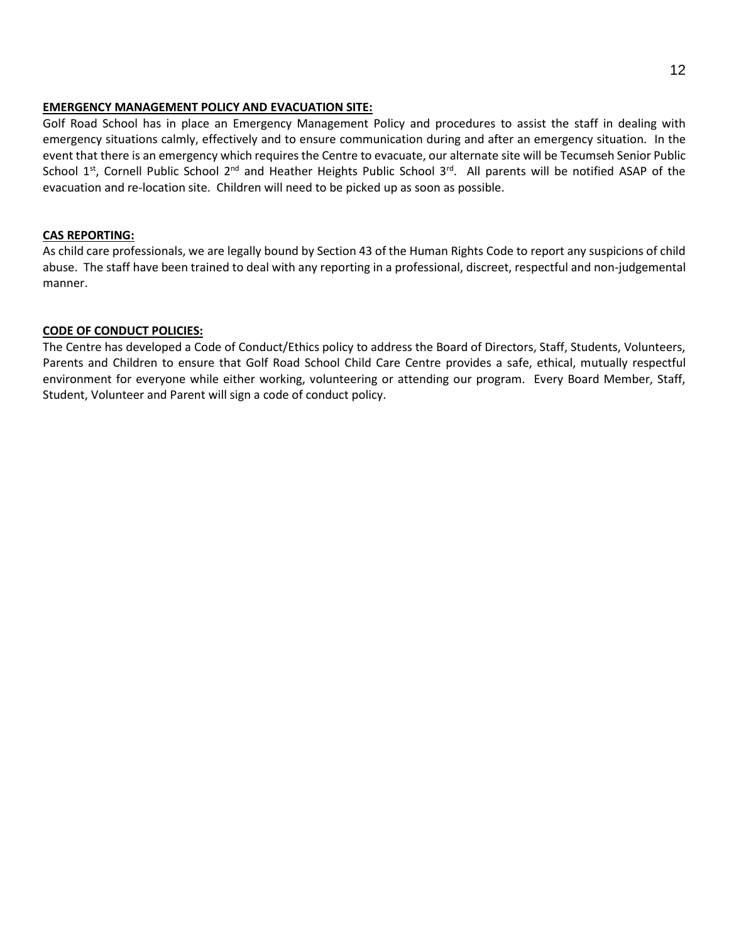#### **EMERGENCY MANAGEMENT POLICY AND EVACUATION SITE:**

Golf Road School has in place an Emergency Management Policy and procedures to assist the staff in dealing with emergency situations calmly, effectively and to ensure communication during and after an emergency situation. In the event that there is an emergency which requires the Centre to evacuate, our alternate site will be Tecumseh Senior Public School 1<sup>st</sup>, Cornell Public School 2<sup>nd</sup> and Heather Heights Public School 3<sup>rd</sup>. All parents will be notified ASAP of the evacuation and re-location site. Children will need to be picked up as soon as possible.

# **CAS REPORTING:**

As child care professionals, we are legally bound by Section 43 of the Human Rights Code to report any suspicions of child abuse. The staff have been trained to deal with any reporting in a professional, discreet, respectful and non-judgemental manner.

# **CODE OF CONDUCT POLICIES:**

The Centre has developed a Code of Conduct/Ethics policy to address the Board of Directors, Staff, Students, Volunteers, Parents and Children to ensure that Golf Road School Child Care Centre provides a safe, ethical, mutually respectful environment for everyone while either working, volunteering or attending our program. Every Board Member, Staff, Student, Volunteer and Parent will sign a code of conduct policy.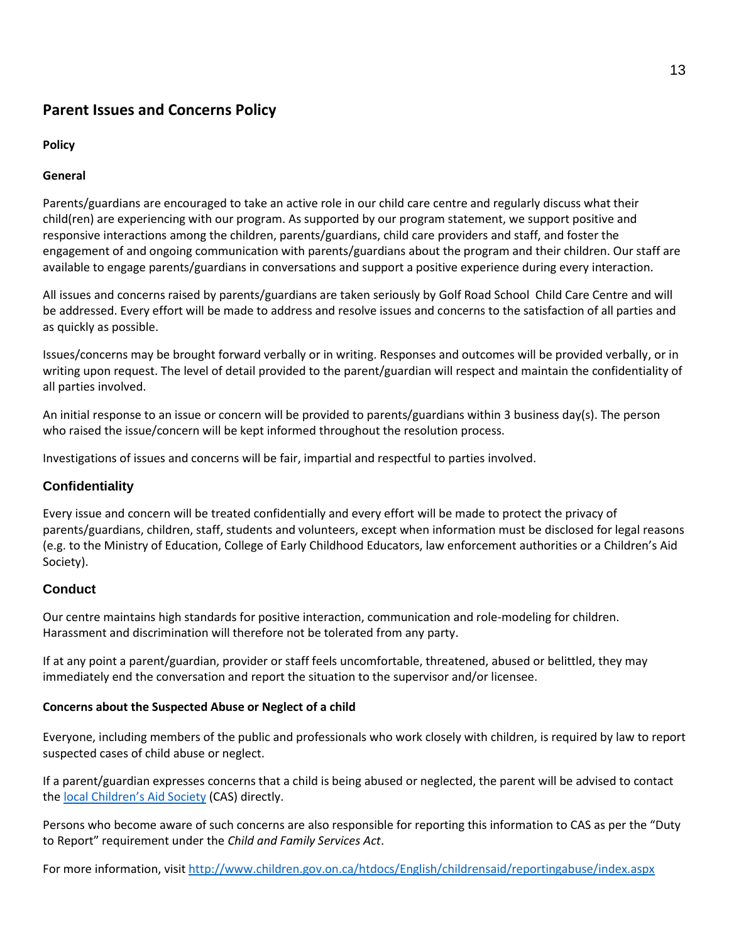# **Parent Issues and Concerns Policy**

# **Policy**

# **General**

Parents/guardians are encouraged to take an active role in our child care centre and regularly discuss what their child(ren) are experiencing with our program. As supported by our program statement, we support positive and responsive interactions among the children, parents/guardians, child care providers and staff, and foster the engagement of and ongoing communication with parents/guardians about the program and their children. Our staff are available to engage parents/guardians in conversations and support a positive experience during every interaction.

All issues and concerns raised by parents/guardians are taken seriously by Golf Road School Child Care Centre and will be addressed. Every effort will be made to address and resolve issues and concerns to the satisfaction of all parties and as quickly as possible.

Issues/concerns may be brought forward verbally or in writing. Responses and outcomes will be provided verbally, or in writing upon request. The level of detail provided to the parent/guardian will respect and maintain the confidentiality of all parties involved.

An initial response to an issue or concern will be provided to parents/guardians within 3 business day(s). The person who raised the issue/concern will be kept informed throughout the resolution process.

Investigations of issues and concerns will be fair, impartial and respectful to parties involved.

# **Confidentiality**

Every issue and concern will be treated confidentially and every effort will be made to protect the privacy of parents/guardians, children, staff, students and volunteers, except when information must be disclosed for legal reasons (e.g. to the Ministry of Education, College of Early Childhood Educators, law enforcement authorities or a Children's Aid Society).

# **Conduct**

Our centre maintains high standards for positive interaction, communication and role-modeling for children. Harassment and discrimination will therefore not be tolerated from any party.

If at any point a parent/guardian, provider or staff feels uncomfortable, threatened, abused or belittled, they may immediately end the conversation and report the situation to the supervisor and/or licensee.

# **Concerns about the Suspected Abuse or Neglect of a child**

Everyone, including members of the public and professionals who work closely with children, is required by law to report suspected cases of child abuse or neglect.

If a parent/guardian expresses concerns that a child is being abused or neglected, the parent will be advised to contact the [local Children's Aid Society](about:blank) (CAS) directly.

Persons who become aware of such concerns are also responsible for reporting this information to CAS as per the "Duty to Report" requirement under the *Child and Family Services Act*.

For more information, visi[t http://www.children.gov.on.ca/htdocs/English/childrensaid/reportingabuse/index.aspx](about:blank)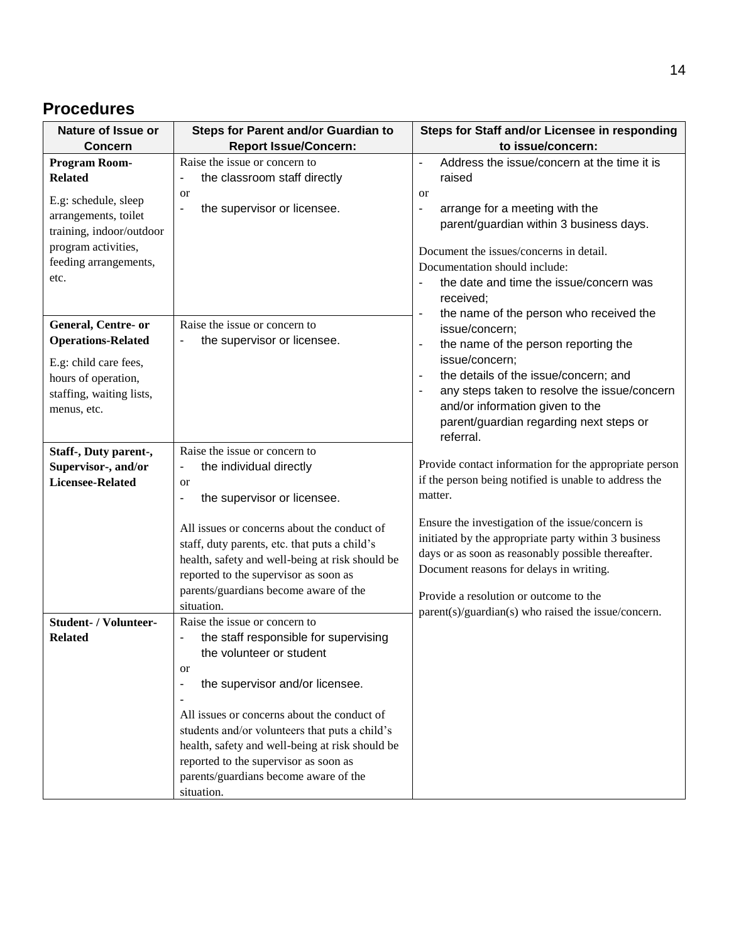# **Procedures**

| Nature of Issue or                                                                                                                                 | <b>Steps for Parent and/or Guardian to</b>                                                                                                                                                                                                                                                                                                                                                                                                 | Steps for Staff and/or Licensee in responding                                                                                                                                                                                                                                                                                               |
|----------------------------------------------------------------------------------------------------------------------------------------------------|--------------------------------------------------------------------------------------------------------------------------------------------------------------------------------------------------------------------------------------------------------------------------------------------------------------------------------------------------------------------------------------------------------------------------------------------|---------------------------------------------------------------------------------------------------------------------------------------------------------------------------------------------------------------------------------------------------------------------------------------------------------------------------------------------|
| <b>Concern</b>                                                                                                                                     | <b>Report Issue/Concern:</b>                                                                                                                                                                                                                                                                                                                                                                                                               | to issue/concern:                                                                                                                                                                                                                                                                                                                           |
| Program Room-<br><b>Related</b><br>E.g: schedule, sleep<br>arrangements, toilet                                                                    | Raise the issue or concern to<br>the classroom staff directly<br><b>or</b><br>the supervisor or licensee.<br>÷                                                                                                                                                                                                                                                                                                                             | Address the issue/concern at the time it is<br>raised<br><b>or</b><br>arrange for a meeting with the<br>$\blacksquare$<br>parent/guardian within 3 business days.                                                                                                                                                                           |
| training, indoor/outdoor<br>program activities,<br>feeding arrangements,<br>etc.                                                                   |                                                                                                                                                                                                                                                                                                                                                                                                                                            | Document the issues/concerns in detail.<br>Documentation should include:<br>the date and time the issue/concern was<br>received;                                                                                                                                                                                                            |
| <b>General, Centre- or</b><br><b>Operations-Related</b><br>E.g: child care fees,<br>hours of operation,<br>staffing, waiting lists,<br>menus, etc. | Raise the issue or concern to<br>the supervisor or licensee.                                                                                                                                                                                                                                                                                                                                                                               | the name of the person who received the<br>$\blacksquare$<br>issue/concern;<br>the name of the person reporting the<br>$\blacksquare$<br>issue/concern;<br>the details of the issue/concern; and<br>any steps taken to resolve the issue/concern<br>and/or information given to the<br>parent/guardian regarding next steps or<br>referral. |
| Staff-, Duty parent-,<br>Supervisor-, and/or<br><b>Licensee-Related</b>                                                                            | Raise the issue or concern to<br>the individual directly<br>$\blacksquare$<br>or<br>the supervisor or licensee.<br>$\blacksquare$                                                                                                                                                                                                                                                                                                          | Provide contact information for the appropriate person<br>if the person being notified is unable to address the<br>matter.                                                                                                                                                                                                                  |
|                                                                                                                                                    | All issues or concerns about the conduct of<br>staff, duty parents, etc. that puts a child's<br>health, safety and well-being at risk should be<br>reported to the supervisor as soon as<br>parents/guardians become aware of the<br>situation.                                                                                                                                                                                            | Ensure the investigation of the issue/concern is<br>initiated by the appropriate party within 3 business<br>days or as soon as reasonably possible thereafter.<br>Document reasons for delays in writing.<br>Provide a resolution or outcome to the                                                                                         |
| <b>Student- / Volunteer-</b><br><b>Related</b>                                                                                                     | Raise the issue or concern to<br>the staff responsible for supervising<br>the volunteer or student<br><b>or</b><br>the supervisor and/or licensee.<br>$\blacksquare$<br>$\blacksquare$<br>All issues or concerns about the conduct of<br>students and/or volunteers that puts a child's<br>health, safety and well-being at risk should be<br>reported to the supervisor as soon as<br>parents/guardians become aware of the<br>situation. | parent(s)/guardian(s) who raised the issue/concern.                                                                                                                                                                                                                                                                                         |